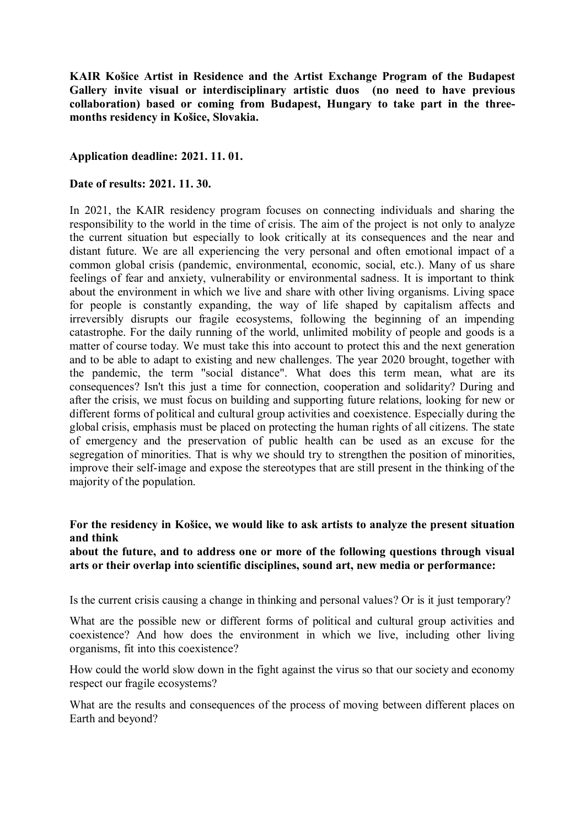**KAIR Košice Artist in Residence and the Artist Exchange Program of the Budapest Gallery invite visual or interdisciplinary artistic duos (no need to have previous collaboration) based or coming from Budapest, Hungary to take part in the threemonths residency in Košice, Slovakia.**

### **Application deadline: 2021. 11. 01.**

#### **Date of results: 2021. 11. 30.**

In 2021, the KAIR residency program focuses on connecting individuals and sharing the responsibility to the world in the time of crisis. The aim of the project is not only to analyze the current situation but especially to look critically at its consequences and the near and distant future. We are all experiencing the very personal and often emotional impact of a common global crisis (pandemic, environmental, economic, social, etc.). Many of us share feelings of fear and anxiety, vulnerability or environmental sadness. It is important to think about the environment in which we live and share with other living organisms. Living space for people is constantly expanding, the way of life shaped by capitalism affects and irreversibly disrupts our fragile ecosystems, following the beginning of an impending catastrophe. For the daily running of the world, unlimited mobility of people and goods is a matter of course today. We must take this into account to protect this and the next generation and to be able to adapt to existing and new challenges. The year 2020 brought, together with the pandemic, the term "social distance". What does this term mean, what are its consequences? Isn't this just a time for connection, cooperation and solidarity? During and after the crisis, we must focus on building and supporting future relations, looking for new or different forms of political and cultural group activities and coexistence. Especially during the global crisis, emphasis must be placed on protecting the human rights of all citizens. The state of emergency and the preservation of public health can be used as an excuse for the segregation of minorities. That is why we should try to strengthen the position of minorities, improve their self-image and expose the stereotypes that are still present in the thinking of the majority of the population.

### **For the residency in Košice, we would like to ask artists to analyze the present situation and think**

**about the future, and to address one or more of the following questions through visual arts or their overlap into scientific disciplines, sound art, new media or performance:**

Is the current crisis causing a change in thinking and personal values? Or is it just temporary?

What are the possible new or different forms of political and cultural group activities and coexistence? And how does the environment in which we live, including other living organisms, fit into this coexistence?

How could the world slow down in the fight against the virus so that our society and economy respect our fragile ecosystems?

What are the results and consequences of the process of moving between different places on Earth and beyond?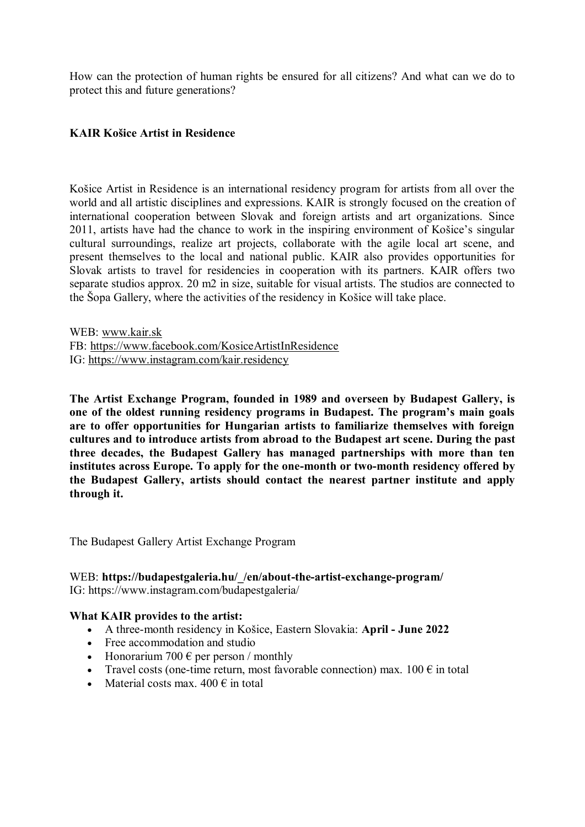How can the protection of human rights be ensured for all citizens? And what can we do to protect this and future generations?

### **KAIR Košice Artist in Residence**

Košice Artist in Residence is an international residency program for artists from all over the world and all artistic disciplines and expressions. KAIR is strongly focused on the creation of international cooperation between Slovak and foreign artists and art organizations. Since 2011, artists have had the chance to work in the inspiring environment of Košice's singular cultural surroundings, realize art projects, collaborate with the agile local art scene, and present themselves to the local and national public. KAIR also provides opportunities for Slovak artists to travel for residencies in cooperation with its partners. KAIR offers two separate studios approx. 20 m2 in size, suitable for visual artists. The studios are connected to the Šopa Gallery, where the activities of the residency in Košice will take place.

WEB: [www.kair.sk](http://www.kair.sk/) FB:<https://www.facebook.com/KosiceArtistInResidence> IG:<https://www.instagram.com/kair.residency>

**The Artist Exchange Program, founded in 1989 and overseen by Budapest Gallery, is one of the oldest running residency programs in Budapest. The program's main goals are to offer opportunities for Hungarian artists to familiarize themselves with foreign cultures and to introduce artists from abroad to the Budapest art scene. During the past three decades, the Budapest Gallery has managed partnerships with more than ten institutes across Europe. To apply for the one-month or two-month residency offered by the Budapest Gallery, artists should contact the nearest partner institute and apply through it.**

The Budapest Gallery Artist Exchange Program

### WEB: **https://budapestgaleria.hu/\_/en/about-the-artist-exchange-program/** IG: https://www.instagram.com/budapestgaleria/

#### **What KAIR provides to the artist:**

- A three-month residency in Košice, Eastern Slovakia: **April - June 2022**
- Free accommodation and studio
- Honorarium 700  $\epsilon$  per person / monthly
- Travel costs (one-time return, most favorable connection) max.  $100 \in \text{in total}$
- Material costs max.  $400 \in \text{in total}$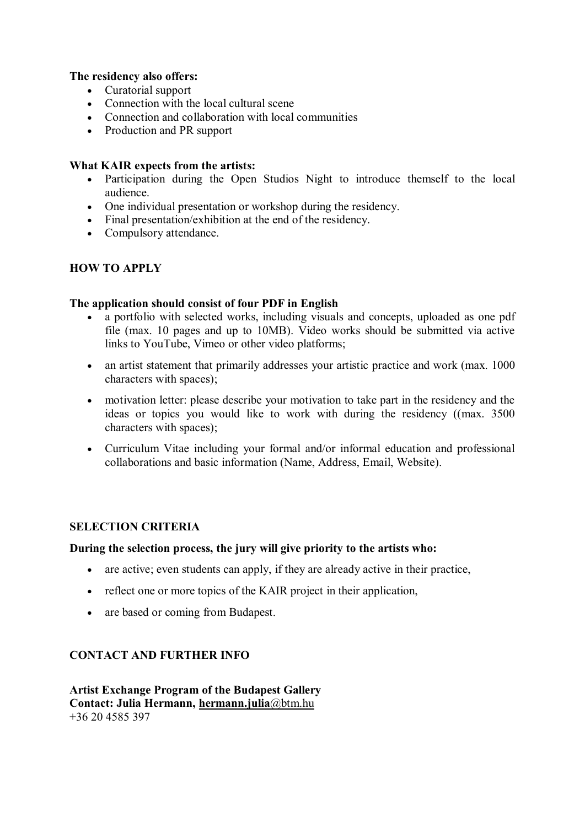# **The residency also offers:**

- Curatorial support
- Connection with the local cultural scene
- Connection and collaboration with local communities
- Production and PR support

# **What KAIR expects from the artists:**

- Participation during the Open Studios Night to introduce themself to the local audience.
- One individual presentation or workshop during the residency.
- Final presentation/exhibition at the end of the residency.
- Compulsory attendance.

# **HOW TO APPLY**

### **The application should consist of four PDF in English**

- a portfolio with selected works, including visuals and concepts, uploaded as one pdf file (max. 10 pages and up to 10MB). Video works should be submitted via active links to YouTube, Vimeo or other video platforms;
- an artist statement that primarily addresses your artistic practice and work (max. 1000) characters with spaces);
- motivation letter: please describe your motivation to take part in the residency and the ideas or topics you would like to work with during the residency ((max. 3500 characters with spaces);
- Curriculum Vitae including your formal and/or informal education and professional collaborations and basic information (Name, Address, Email, Website).

# **SELECTION CRITERIA**

# **During the selection process, the jury will give priority to the artists who:**

- are active; even students can apply, if they are already active in their practice,
- reflect one or more topics of the KAIR project in their application,
- are based or coming from Budapest.

# **CONTACT AND FURTHER INFO**

**Artist Exchange Program of the Budapest Gallery Contact: Julia Hermann, [hermann.julia](mailto:hermann.julia@btm.hu)**@btm.hu +36 20 4585 397